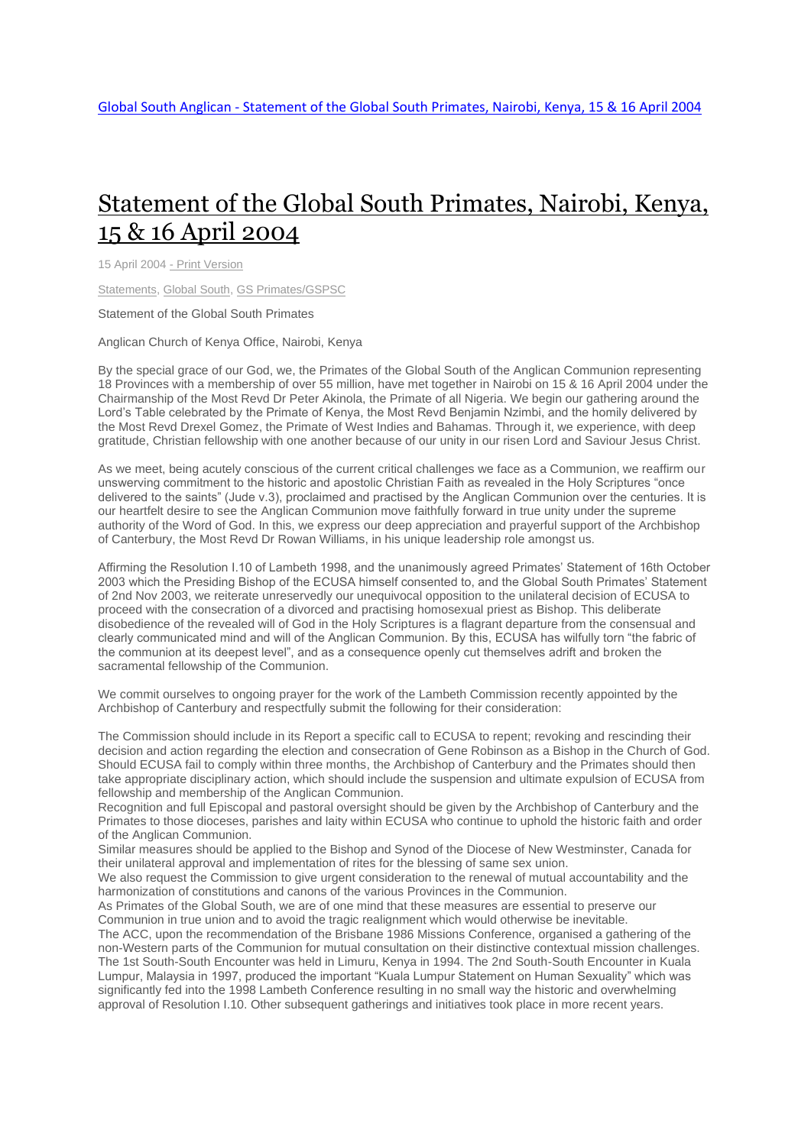## [Statement](http://www.globalsouthanglican.org/index.php/blog/comments/statement_of_the_global_south_primates_nairobi_kenya_15_16_april_2004) of the Global South Primates, Nairobi, Kenya, 15 & 16 April [2004](http://www.globalsouthanglican.org/index.php/blog/comments/statement_of_the_global_south_primates_nairobi_kenya_15_16_april_2004)

15 April 2004 - Print [Version](http://globalsouthanglican.org/index.php/blog/printing/statement_of_the_global_south_primates_nairobi_kenya_15_16_april_2004)

[Statements,](http://globalsouthanglican.org/index.php/archives/category/statements) [Global](http://globalsouthanglican.org/index.php/archives/category/global_south) South, GS [Primates/GSPSC](http://globalsouthanglican.org/index.php/archives/category/gs_primates_gspsc)

Statement of the Global South Primates

Anglican Church of Kenya Office, Nairobi, Kenya

By the special grace of our God, we, the Primates of the Global South of the Anglican Communion representing 18 Provinces with a membership of over 55 million, have met together in Nairobi on 15 & 16 April 2004 under the Chairmanship of the Most Revd Dr Peter Akinola, the Primate of all Nigeria. We begin our gathering around the Lord's Table celebrated by the Primate of Kenya, the Most Revd Benjamin Nzimbi, and the homily delivered by the Most Revd Drexel Gomez, the Primate of West Indies and Bahamas. Through it, we experience, with deep gratitude, Christian fellowship with one another because of our unity in our risen Lord and Saviour Jesus Christ.

As we meet, being acutely conscious of the current critical challenges we face as a Communion, we reaffirm our unswerving commitment to the historic and apostolic Christian Faith as revealed in the Holy Scriptures "once delivered to the saints" (Jude v.3), proclaimed and practised by the Anglican Communion over the centuries. It is our heartfelt desire to see the Anglican Communion move faithfully forward in true unity under the supreme authority of the Word of God. In this, we express our deep appreciation and prayerful support of the Archbishop of Canterbury, the Most Revd Dr Rowan Williams, in his unique leadership role amongst us.

Affirming the Resolution I.10 of Lambeth 1998, and the unanimously agreed Primates' Statement of 16th October 2003 which the Presiding Bishop of the ECUSA himself consented to, and the Global South Primates' Statement of 2nd Nov 2003, we reiterate unreservedly our unequivocal opposition to the unilateral decision of ECUSA to proceed with the consecration of a divorced and practising homosexual priest as Bishop. This deliberate disobedience of the revealed will of God in the Holy Scriptures is a flagrant departure from the consensual and clearly communicated mind and will of the Anglican Communion. By this, ECUSA has wilfully torn "the fabric of the communion at its deepest level", and as a consequence openly cut themselves adrift and broken the sacramental fellowship of the Communion.

We commit ourselves to ongoing prayer for the work of the Lambeth Commission recently appointed by the Archbishop of Canterbury and respectfully submit the following for their consideration:

The Commission should include in its Report a specific call to ECUSA to repent; revoking and rescinding their decision and action regarding the election and consecration of Gene Robinson as a Bishop in the Church of God. Should ECUSA fail to comply within three months, the Archbishop of Canterbury and the Primates should then take appropriate disciplinary action, which should include the suspension and ultimate expulsion of ECUSA from fellowship and membership of the Anglican Communion.

Recognition and full Episcopal and pastoral oversight should be given by the Archbishop of Canterbury and the Primates to those dioceses, parishes and laity within ECUSA who continue to uphold the historic faith and order of the Anglican Communion.

Similar measures should be applied to the Bishop and Synod of the Diocese of New Westminster, Canada for their unilateral approval and implementation of rites for the blessing of same sex union.

We also request the Commission to give urgent consideration to the renewal of mutual accountability and the harmonization of constitutions and canons of the various Provinces in the Communion.

As Primates of the Global South, we are of one mind that these measures are essential to preserve our Communion in true union and to avoid the tragic realignment which would otherwise be inevitable.

The ACC, upon the recommendation of the Brisbane 1986 Missions Conference, organised a gathering of the non-Western parts of the Communion for mutual consultation on their distinctive contextual mission challenges. The 1st South-South Encounter was held in Limuru, Kenya in 1994. The 2nd South-South Encounter in Kuala Lumpur, Malaysia in 1997, produced the important "Kuala Lumpur Statement on Human Sexuality" which was significantly fed into the 1998 Lambeth Conference resulting in no small way the historic and overwhelming approval of Resolution I.10. Other subsequent gatherings and initiatives took place in more recent years.